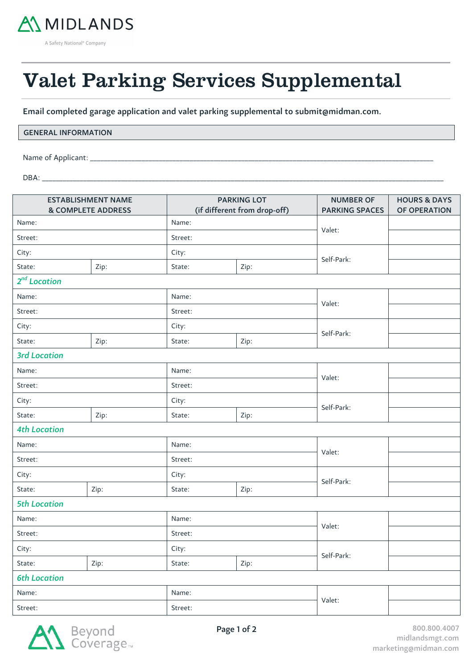

A Safety National<sup>®</sup> Company

# Valet Parking Services Supplemental

Email completed garage application and valet parking supplemental to submit@midman.com.

## GENERAL INFORMATION

Name of Applicant: \_\_\_

DBA: \_\_\_\_\_\_\_\_\_\_\_\_\_\_\_\_\_\_\_\_\_\_\_\_\_\_\_\_\_\_\_\_\_\_\_\_\_\_\_\_\_\_\_\_\_\_\_\_\_\_\_\_\_\_\_\_\_\_\_\_\_\_\_\_\_\_\_\_\_\_\_\_\_\_\_\_\_\_\_\_\_\_\_\_\_\_\_\_\_\_\_\_\_\_\_\_\_\_\_\_\_\_\_\_\_\_\_\_\_\_\_\_\_\_\_\_\_

55

 $\overline{a}$ 

| <b>ESTABLISHMENT NAME</b><br><b>&amp; COMPLETE ADDRESS</b> |      | <b>PARKING LOT</b><br>(if different from drop-off) |      | <b>NUMBER OF</b><br><b>PARKING SPACES</b> | <b>HOURS &amp; DAYS</b><br>OF OPERATION |
|------------------------------------------------------------|------|----------------------------------------------------|------|-------------------------------------------|-----------------------------------------|
| Name:                                                      |      | Name:                                              |      |                                           |                                         |
| Street:                                                    |      | Street:                                            |      | Valet:                                    |                                         |
| City:                                                      |      | City:                                              |      |                                           |                                         |
| State:                                                     | Zip: | State:                                             | Zip: | Self-Park:                                |                                         |
| $2^{nd}$ Location                                          |      |                                                    |      |                                           |                                         |
| Name:                                                      |      | Name:                                              |      | Valet:                                    |                                         |
| Street:                                                    |      | Street:                                            |      |                                           |                                         |
| City:                                                      |      | City:                                              |      |                                           |                                         |
| State:                                                     | Zip: | State:                                             | Zip: | Self-Park:                                |                                         |
| <b>3rd Location</b>                                        |      |                                                    |      |                                           |                                         |
| Name:                                                      |      | Name:                                              |      | Valet:                                    |                                         |
| Street:                                                    |      | Street:                                            |      |                                           |                                         |
| City:                                                      |      | City:                                              |      |                                           |                                         |
| State:                                                     | Zip: | State:                                             | Zip: | Self-Park:                                |                                         |
| <b>4th Location</b>                                        |      |                                                    |      |                                           |                                         |
| Name:                                                      |      | Name:                                              |      | Valet:                                    |                                         |
| Street:                                                    |      | Street:                                            |      |                                           |                                         |
| City:                                                      |      | City:                                              |      | Self-Park:                                |                                         |
| State:                                                     | Zip: | State:<br>Zip:                                     |      |                                           |                                         |
| <b>5th Location</b>                                        |      |                                                    |      |                                           |                                         |
| Name:                                                      |      | Name:                                              |      | Valet:                                    |                                         |
| Street:                                                    |      | Street:                                            |      |                                           |                                         |
| City:                                                      |      | City:                                              |      | Self-Park:                                |                                         |
| State:                                                     | Zip: | State:                                             | Zip: |                                           |                                         |
| <b>6th Location</b>                                        |      |                                                    |      |                                           |                                         |
| Name:                                                      |      | Name:                                              |      | Valet:                                    |                                         |
| Street:                                                    |      | Street:                                            |      |                                           |                                         |